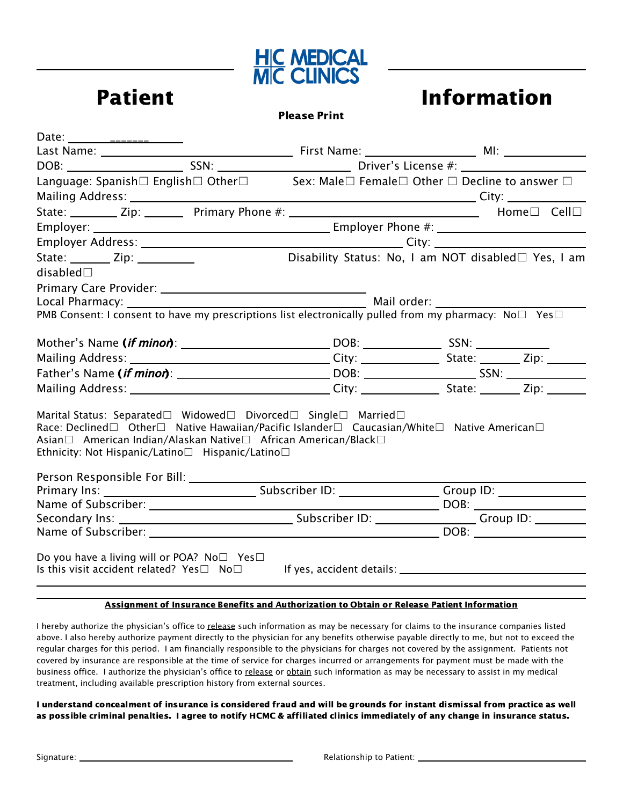

## Please Print

| Date: ________________________                                                                                                                                                                                                                                                     |  |                                                     |  |  |
|------------------------------------------------------------------------------------------------------------------------------------------------------------------------------------------------------------------------------------------------------------------------------------|--|-----------------------------------------------------|--|--|
|                                                                                                                                                                                                                                                                                    |  |                                                     |  |  |
|                                                                                                                                                                                                                                                                                    |  |                                                     |  |  |
| Language: Spanish□ English□ Other□ Sex: Male□ Female□ Other □ Decline to answer □                                                                                                                                                                                                  |  |                                                     |  |  |
|                                                                                                                                                                                                                                                                                    |  |                                                     |  |  |
|                                                                                                                                                                                                                                                                                    |  |                                                     |  |  |
|                                                                                                                                                                                                                                                                                    |  |                                                     |  |  |
|                                                                                                                                                                                                                                                                                    |  |                                                     |  |  |
| State: $\frac{1}{\sqrt{2}}$ Zip: $\frac{1}{\sqrt{2}}$                                                                                                                                                                                                                              |  | Disability Status: No, I am NOT disabled□ Yes, I am |  |  |
| disabled $\square$                                                                                                                                                                                                                                                                 |  |                                                     |  |  |
|                                                                                                                                                                                                                                                                                    |  |                                                     |  |  |
|                                                                                                                                                                                                                                                                                    |  |                                                     |  |  |
| PMB Consent: I consent to have my prescriptions list electronically pulled from my pharmacy: $N_0 \Box$ Yes $\Box$                                                                                                                                                                 |  |                                                     |  |  |
|                                                                                                                                                                                                                                                                                    |  |                                                     |  |  |
|                                                                                                                                                                                                                                                                                    |  |                                                     |  |  |
|                                                                                                                                                                                                                                                                                    |  |                                                     |  |  |
|                                                                                                                                                                                                                                                                                    |  |                                                     |  |  |
| Marital Status: Separated□ Widowed□ Divorced□ Single□ Married□<br>Race: Declined□ Other□ Native Hawaiian/Pacific Islander□ Caucasian/White□ Native American□<br>Asian□ American Indian/Alaskan Native□ African American/Black□<br>Ethnicity: Not Hispanic/Latino□ Hispanic/Latino□ |  |                                                     |  |  |
|                                                                                                                                                                                                                                                                                    |  |                                                     |  |  |
|                                                                                                                                                                                                                                                                                    |  |                                                     |  |  |
|                                                                                                                                                                                                                                                                                    |  |                                                     |  |  |
|                                                                                                                                                                                                                                                                                    |  |                                                     |  |  |
|                                                                                                                                                                                                                                                                                    |  |                                                     |  |  |
| Do you have a living will or POA? No $\square$ Yes $\square$<br>Is this visit accident related? Yes□ No□ If yes, accident details: _________________________________                                                                                                               |  |                                                     |  |  |

## Assignment of Insurance Benefits and Authorization to Obtain or Release Patient Information

I hereby authorize the physician's office to release such information as may be necessary for claims to the insurance companies listed above. I also hereby authorize payment directly to the physician for any benefits otherwise payable directly to me, but not to exceed the regular charges for this period. I am financially responsible to the physicians for charges not covered by the assignment. Patients not covered by insurance are responsible at the time of service for charges incurred or arrangements for payment must be made with the business office. I authorize the physician's office to release or obtain such information as may be necessary to assist in my medical treatment, including available prescription history from external sources.

I understand concealment of insurance is considered fraud and will be grounds for instant dismissal from practice as well as possible criminal penalties. I agree to notify HCMC & affiliated clinics immediately of any change in insurance status.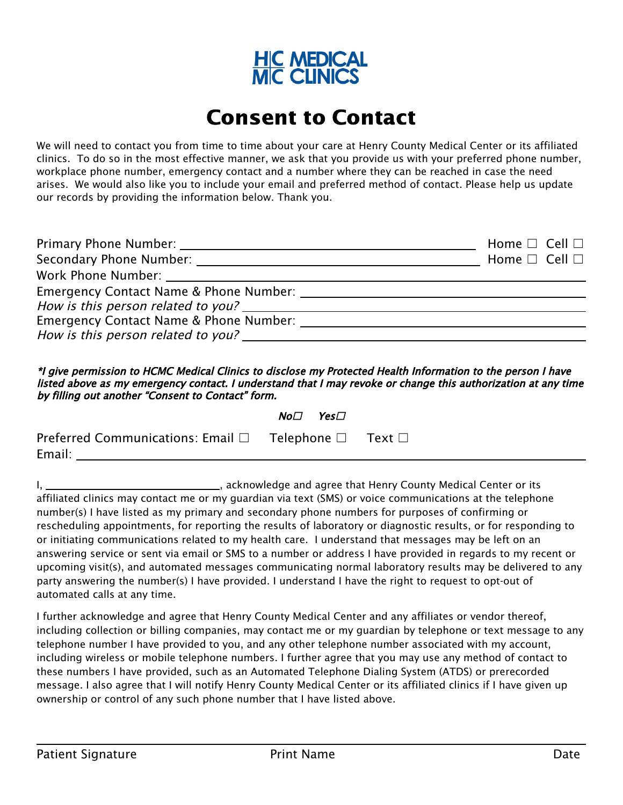

# Consent to Contact

We will need to contact you from time to time about your care at Henry County Medical Center or its affiliated clinics. To do so in the most effective manner, we ask that you provide us with your preferred phone number, workplace phone number, emergency contact and a number where they can be reached in case the need arises. We would also like you to include your email and preferred method of contact. Please help us update our records by providing the information below. Thank you.

|                                        | Home $\square$ Cell $\square$ |
|----------------------------------------|-------------------------------|
|                                        | Home $\square$ Cell $\square$ |
|                                        |                               |
|                                        |                               |
|                                        |                               |
| Emergency Contact Name & Phone Number: |                               |
| How is this person related to you?     |                               |

\*I give permission to HCMC Medical Clinics to disclose my Protected Health Information to the person I have listed above as my emergency contact. I understand that I may revoke or change this authorization at any time by filling out another "Consent to Contact" form.

|                                                                               | $No\square$ Yes $\square$ |  |
|-------------------------------------------------------------------------------|---------------------------|--|
| Preferred Communications: Email $\Box$ Telephone $\Box$ Text $\Box$<br>Email: |                           |  |

I, \_\_\_\_\_\_\_\_\_\_\_\_\_\_\_\_\_\_\_\_\_\_\_\_\_\_\_\_\_\_\_\_\_\_\_, acknowledge and agree that Henry County Medical Center or its affiliated clinics may contact me or my guardian via text (SMS) or voice communications at the telephone number(s) I have listed as my primary and secondary phone numbers for purposes of confirming or rescheduling appointments, for reporting the results of laboratory or diagnostic results, or for responding to or initiating communications related to my health care. I understand that messages may be left on an answering service or sent via email or SMS to a number or address I have provided in regards to my recent or upcoming visit(s), and automated messages communicating normal laboratory results may be delivered to any party answering the number(s) I have provided. I understand I have the right to request to opt-out of automated calls at any time.

I further acknowledge and agree that Henry County Medical Center and any affiliates or vendor thereof, including collection or billing companies, may contact me or my guardian by telephone or text message to any telephone number I have provided to you, and any other telephone number associated with my account, including wireless or mobile telephone numbers. I further agree that you may use any method of contact to these numbers I have provided, such as an Automated Telephone Dialing System (ATDS) or prerecorded message. I also agree that I will notify Henry County Medical Center or its affiliated clinics if I have given up ownership or control of any such phone number that I have listed above.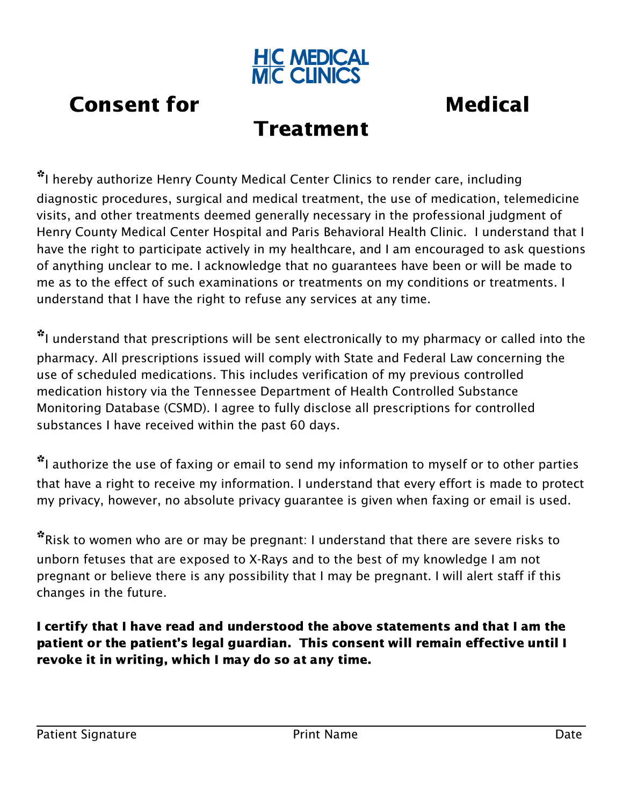

# **Consent for The Consent for America** Consent for

# Treatment

\*I hereby authorize Henry County Medical Center Clinics to render care, including diagnostic procedures, surgical and medical treatment, the use of medication, telemedicine visits, and other treatments deemed generally necessary in the professional judgment of Henry County Medical Center Hospital and Paris Behavioral Health Clinic. I understand that I have the right to participate actively in my healthcare, and I am encouraged to ask questions of anything unclear to me. I acknowledge that no guarantees have been or will be made to me as to the effect of such examinations or treatments on my conditions or treatments. I understand that I have the right to refuse any services at any time.

\*I understand that prescriptions will be sent electronically to my pharmacy or called into the pharmacy. All prescriptions issued will comply with State and Federal Law concerning the use of scheduled medications. This includes verification of my previous controlled medication history via the Tennessee Department of Health Controlled Substance Monitoring Database (CSMD). I agree to fully disclose all prescriptions for controlled substances I have received within the past 60 days.

\*I authorize the use of faxing or email to send my information to myself or to other parties that have a right to receive my information. I understand that every effort is made to protect my privacy, however, no absolute privacy guarantee is given when faxing or email is used.

\*Risk to women who are or may be pregnant: I understand that there are severe risks to unborn fetuses that are exposed to X-Rays and to the best of my knowledge I am not pregnant or believe there is any possibility that I may be pregnant. I will alert staff if this changes in the future.

I certify that I have read and understood the above statements and that I am the patient or the patient's legal guardian. This consent will remain effective until I revoke it in writing, which I may do so at any time.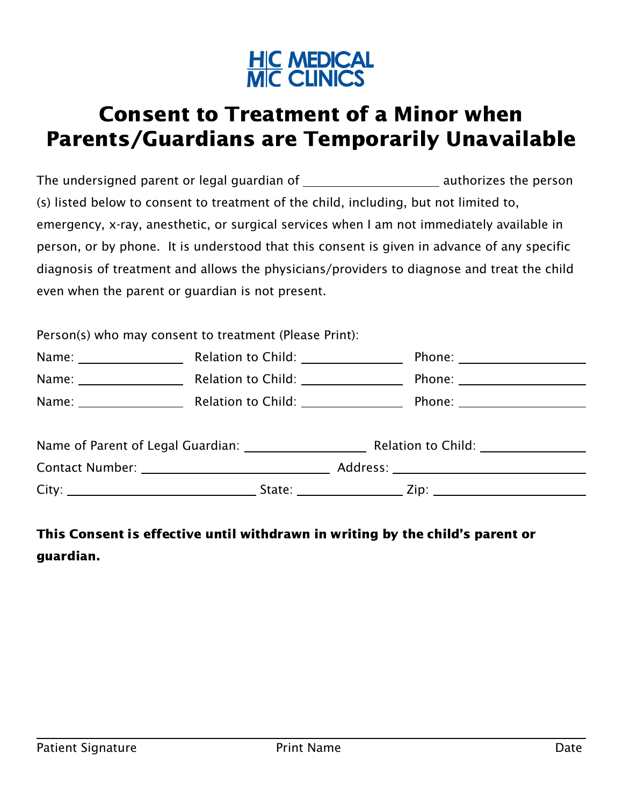

# Consent to Treatment of a Minor when Parents/Guardians are Temporarily Unavailable

The undersigned parent or legal guardian of The undersigned parent or legal guardian of (s) listed below to consent to treatment of the child, including, but not limited to, emergency, x-ray, anesthetic, or surgical services when I am not immediately available in person, or by phone. It is understood that this consent is given in advance of any specific diagnosis of treatment and allows the physicians/providers to diagnose and treat the child even when the parent or guardian is not present.

Person(s) who may consent to treatment (Please Print):

| Name: | <b>Relation to Child:</b>              | Phone:                                                                                                                                                                                                                              |
|-------|----------------------------------------|-------------------------------------------------------------------------------------------------------------------------------------------------------------------------------------------------------------------------------------|
| Name: | Relation to Child:                     |                                                                                                                                                                                                                                     |
| Name: | Relation to Child: Nellation to Child: | <b>Phone:</b> the contract of the contract of the contract of the contract of the contract of the contract of the contract of the contract of the contract of the contract of the contract of the contract of the contract of the c |
|       |                                        |                                                                                                                                                                                                                                     |

| Name of Parent of Legal Guardian: |        |          | Relation to Child: |  |
|-----------------------------------|--------|----------|--------------------|--|
| Contact Number: _                 |        | Address: |                    |  |
| City:                             | State: |          | Zip:               |  |

## This Consent is effective until withdrawn in writing by the child's parent or guardian.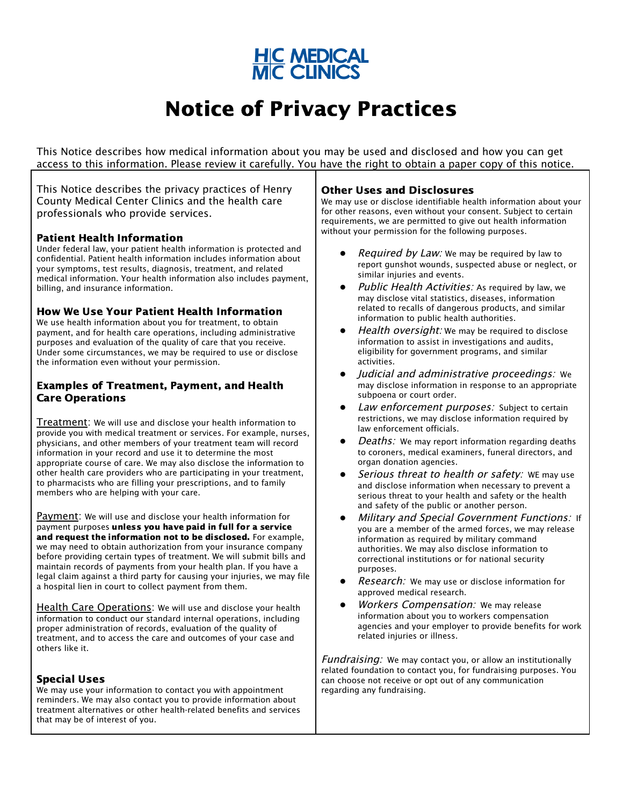

# Notice of Privacy Practices

This Notice describes how medical information about you may be used and disclosed and how you can get access to this information. Please review it carefully. You have the right to obtain a paper copy of this notice.

This Notice describes the privacy practices of Henry County Medical Center Clinics and the health care professionals who provide services.

## Patient Health Information

Under federal law, your patient health information is protected and confidential. Patient health information includes information about your symptoms, test results, diagnosis, treatment, and related medical information. Your health information also includes payment, billing, and insurance information.

## How We Use Your Patient Health Information

We use health information about you for treatment, to obtain payment, and for health care operations, including administrative purposes and evaluation of the quality of care that you receive. Under some circumstances, we may be required to use or disclose the information even without your permission.

## Examples of Treatment, Payment, and Health Care Operations

Treatment: We will use and disclose your health information to provide you with medical treatment or services. For example, nurses, physicians, and other members of your treatment team will record information in your record and use it to determine the most appropriate course of care. We may also disclose the information to other health care providers who are participating in your treatment, to pharmacists who are filling your prescriptions, and to family members who are helping with your care.

Payment: We will use and disclose your health information for payment purposes unless you have paid in full for a service and request the information not to be disclosed. For example, we may need to obtain authorization from your insurance company before providing certain types of treatment. We will submit bills and maintain records of payments from your health plan. If you have a legal claim against a third party for causing your injuries, we may file a hospital lien in court to collect payment from them.

Health Care Operations: We will use and disclose your health information to conduct our standard internal operations, including proper administration of records, evaluation of the quality of treatment, and to access the care and outcomes of your case and others like it.

## Special Uses

We may use your information to contact you with appointment reminders. We may also contact you to provide information about treatment alternatives or other health-related benefits and services that may be of interest of you.

## Other Uses and Disclosures

We may use or disclose identifiable health information about your for other reasons, even without your consent. Subject to certain requirements, we are permitted to give out health information without your permission for the following purposes.

- Required by Law: We may be required by law to report gunshot wounds, suspected abuse or neglect, or similar injuries and events.
- Public Health Activities: As required by law, we may disclose vital statistics, diseases, information related to recalls of dangerous products, and similar information to public health authorities.
- Health oversight: We may be required to disclose information to assist in investigations and audits, eligibility for government programs, and similar activities.
- Judicial and administrative proceedings: We may disclose information in response to an appropriate subpoena or court order.
- Law enforcement purposes: Subject to certain restrictions, we may disclose information required by law enforcement officials.
- Deaths: We may report information regarding deaths to coroners, medical examiners, funeral directors, and organ donation agencies.
- Serious threat to health or safety: WE may use and disclose information when necessary to prevent a serious threat to your health and safety or the health and safety of the public or another person.
- **Military and Special Government Functions: If** you are a member of the armed forces, we may release information as required by military command authorities. We may also disclose information to correctional institutions or for national security purposes.
- **Research:** We may use or disclose information for approved medical research.
- Workers Compensation: We may release information about you to workers compensation agencies and your employer to provide benefits for work related injuries or illness.

Fundraising: We may contact you, or allow an institutionally related foundation to contact you, for fundraising purposes. You can choose not receive or opt out of any communication regarding any fundraising.